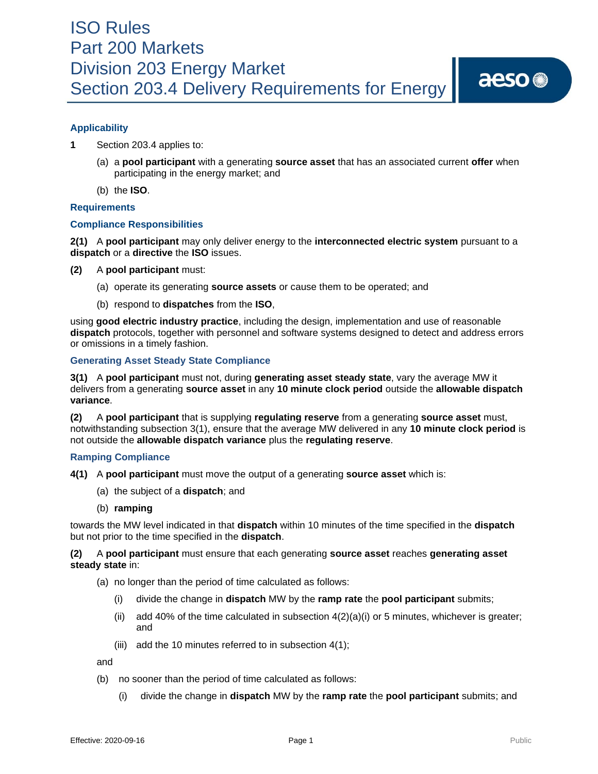

# **Applicability**

- **1** Section 203.4 applies to:
	- (a) a **pool participant** with a generating **source asset** that has an associated current **offer** when participating in the energy market; and
	- (b) the **ISO**.

### **Requirements**

### **Compliance Responsibilities**

**2(1)** A **pool participant** may only deliver energy to the **interconnected electric system** pursuant to a **dispatch** or a **directive** the **ISO** issues.

- **(2)** A **pool participant** must:
	- (a) operate its generating **source assets** or cause them to be operated; and
	- (b) respond to **dispatches** from the **ISO**,

using **good electric industry practice**, including the design, implementation and use of reasonable **dispatch** protocols, together with personnel and software systems designed to detect and address errors or omissions in a timely fashion.

### **Generating Asset Steady State Compliance**

**3(1)** A **pool participant** must not, during **generating asset steady state**, vary the average MW it delivers from a generating **source asset** in any **10 minute clock period** outside the **allowable dispatch variance**.

**(2)** A **pool participant** that is supplying **regulating reserve** from a generating **source asset** must, notwithstanding subsection 3(1), ensure that the average MW delivered in any **10 minute clock period** is not outside the **allowable dispatch variance** plus the **regulating reserve**.

## **Ramping Compliance**

- **4(1)** A **pool participant** must move the output of a generating **source asset** which is:
	- (a) the subject of a **dispatch**; and
	- (b) **ramping**

towards the MW level indicated in that **dispatch** within 10 minutes of the time specified in the **dispatch** but not prior to the time specified in the **dispatch**.

**(2)** A **pool participant** must ensure that each generating **source asset** reaches **generating asset steady state** in:

- (a) no longer than the period of time calculated as follows:
	- (i) divide the change in **dispatch** MW by the **ramp rate** the **pool participant** submits;
	- (ii) add 40% of the time calculated in subsection  $4(2)(a)(i)$  or 5 minutes, whichever is greater; and
	- (iii) add the 10 minutes referred to in subsection 4(1);

and

- (b) no sooner than the period of time calculated as follows:
	- (i) divide the change in **dispatch** MW by the **ramp rate** the **pool participant** submits; and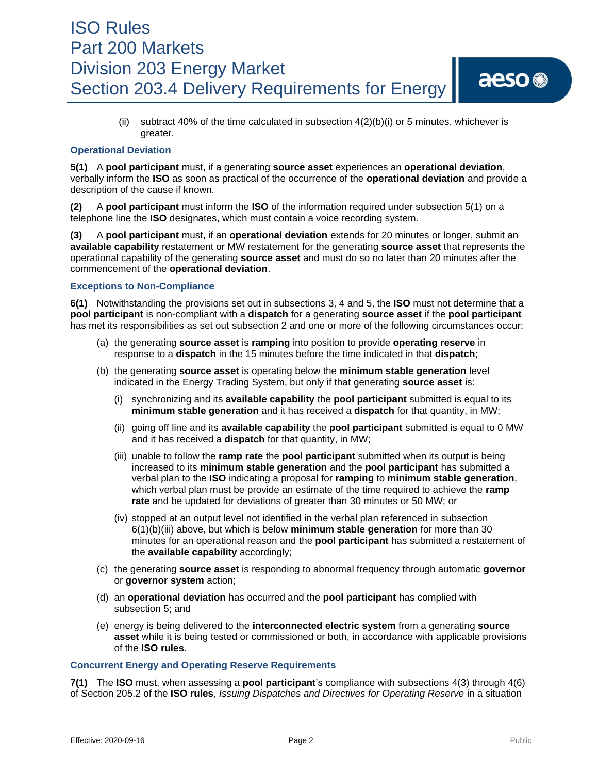# ISO Rules Part 200 Markets Division 203 Energy Market Section 203.4 Delivery Requirements for Energy

## **Operational Deviation**

**5(1)** A **pool participant** must, if a generating **source asset** experiences an **operational deviation**, verbally inform the **ISO** as soon as practical of the occurrence of the **operational deviation** and provide a description of the cause if known.

**(2)** A **pool participant** must inform the **ISO** of the information required under subsection 5(1) on a telephone line the **ISO** designates, which must contain a voice recording system.

**(3)** A **pool participant** must, if an **operational deviation** extends for 20 minutes or longer, submit an **available capability** restatement or MW restatement for the generating **source asset** that represents the operational capability of the generating **source asset** and must do so no later than 20 minutes after the commencement of the **operational deviation**.

# **Exceptions to Non-Compliance**

**6(1)** Notwithstanding the provisions set out in subsections 3, 4 and 5, the **ISO** must not determine that a **pool participant** is non-compliant with a **dispatch** for a generating **source asset** if the **pool participant** has met its responsibilities as set out subsection 2 and one or more of the following circumstances occur:

- (a) the generating **source asset** is **ramping** into position to provide **operating reserve** in response to a **dispatch** in the 15 minutes before the time indicated in that **dispatch**;
- (b) the generating **source asset** is operating below the **minimum stable generation** level indicated in the Energy Trading System, but only if that generating **source asset** is:
	- (i) synchronizing and its **available capability** the **pool participant** submitted is equal to its **minimum stable generation** and it has received a **dispatch** for that quantity, in MW;
	- (ii) going off line and its **available capability** the **pool participant** submitted is equal to 0 MW and it has received a **dispatch** for that quantity, in MW;
	- (iii) unable to follow the **ramp rate** the **pool participant** submitted when its output is being increased to its **minimum stable generation** and the **pool participant** has submitted a verbal plan to the **ISO** indicating a proposal for **ramping** to **minimum stable generation**, which verbal plan must be provide an estimate of the time required to achieve the **ramp rate** and be updated for deviations of greater than 30 minutes or 50 MW; or
	- (iv) stopped at an output level not identified in the verbal plan referenced in subsection 6(1)(b)(iii) above, but which is below **minimum stable generation** for more than 30 minutes for an operational reason and the **pool participant** has submitted a restatement of the **available capability** accordingly;
- (c) the generating **source asset** is responding to abnormal frequency through automatic **governor** or **governor system** action;
- (d) an **operational deviation** has occurred and the **pool participant** has complied with subsection 5; and
- (e) energy is being delivered to the **interconnected electric system** from a generating **source asset** while it is being tested or commissioned or both, in accordance with applicable provisions of the **ISO rules**.

## **Concurrent Energy and Operating Reserve Requirements**

**7(1)** The **ISO** must, when assessing a **pool participant**'s compliance with subsections 4(3) through 4(6) of Section 205.2 of the **ISO rules**, *Issuing Dispatches and Directives for Operating Reserve* in a situation

aeso<sup>®</sup>